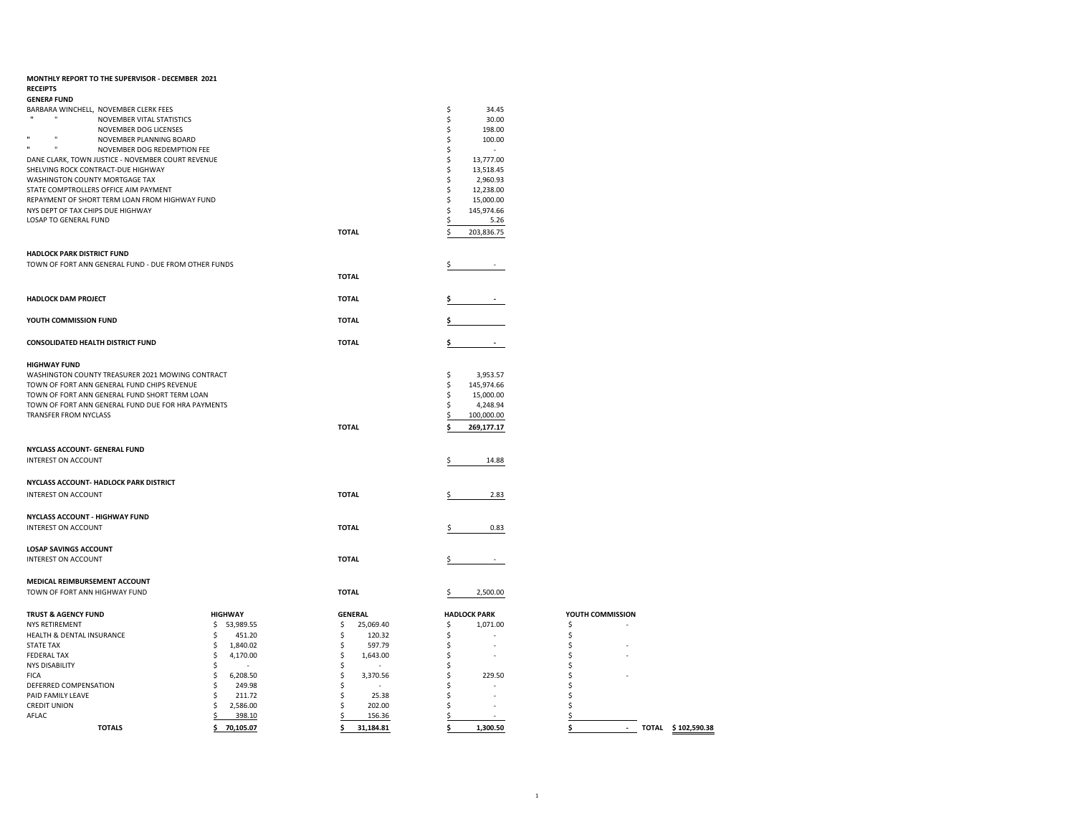| MONTHLY REPORT TO THE SUPERVISOR - DECEMBER 2021<br><b>RECEIPTS</b>                     |                            |                                |                                  |                          |
|-----------------------------------------------------------------------------------------|----------------------------|--------------------------------|----------------------------------|--------------------------|
| <b>GENERA FUND</b>                                                                      |                            |                                |                                  |                          |
| BARBARA WINCHELL, NOVEMBER CLERK FEES                                                   |                            |                                | 34.45<br>\$                      |                          |
| $\mathbf{u}$<br>NOVEMBER VITAL STATISTICS                                               |                            |                                | 30.00<br>\$                      |                          |
| NOVEMBER DOG LICENSES                                                                   |                            |                                | 198.00<br>\$                     |                          |
| $\mathbf{u}$<br>$\mathbf{u}$<br>NOVEMBER PLANNING BOARD<br>$\mathbf{u}$<br>$\mathbf{u}$ |                            |                                | \$<br>100.00                     |                          |
| NOVEMBER DOG REDEMPTION FEE                                                             |                            |                                | Ś<br>$\sim$                      |                          |
| DANE CLARK, TOWN JUSTICE - NOVEMBER COURT REVENUE<br>SHELVING ROCK CONTRACT-DUE HIGHWAY |                            |                                | Ś<br>13,777.00<br>Ś<br>13,518.45 |                          |
| WASHINGTON COUNTY MORTGAGE TAX                                                          |                            |                                | 2,960.93<br>Ś                    |                          |
| STATE COMPTROLLERS OFFICE AIM PAYMENT                                                   |                            |                                | 12,238.00<br>Ŝ                   |                          |
| REPAYMENT OF SHORT TERM LOAN FROM HIGHWAY FUND                                          |                            |                                | 15,000.00<br>Ś                   |                          |
| NYS DEPT OF TAX CHIPS DUE HIGHWAY                                                       |                            |                                | 145,974.66<br>\$                 |                          |
| <b>LOSAP TO GENERAL FUND</b>                                                            |                            |                                | 5.26<br>\$                       |                          |
|                                                                                         |                            | <b>TOTAL</b>                   | 203,836.75                       |                          |
| <b>HADLOCK PARK DISTRICT FUND</b>                                                       |                            |                                |                                  |                          |
| TOWN OF FORT ANN GENERAL FUND - DUE FROM OTHER FUNDS                                    |                            |                                |                                  |                          |
|                                                                                         |                            | <b>TOTAL</b>                   |                                  |                          |
|                                                                                         |                            |                                |                                  |                          |
| HADLOCK DAM PROJECT                                                                     |                            | <b>TOTAL</b>                   |                                  |                          |
| YOUTH COMMISSION FUND                                                                   |                            | <b>TOTAL</b>                   |                                  |                          |
|                                                                                         |                            |                                |                                  |                          |
| <b>CONSOLIDATED HEALTH DISTRICT FUND</b>                                                |                            | <b>TOTAL</b>                   |                                  |                          |
|                                                                                         |                            |                                |                                  |                          |
| <b>HIGHWAY FUND</b>                                                                     |                            |                                |                                  |                          |
| WASHINGTON COUNTY TREASURER 2021 MOWING CONTRACT                                        |                            |                                | \$<br>3,953.57                   |                          |
| TOWN OF FORT ANN GENERAL FUND CHIPS REVENUE                                             |                            |                                | 145,974.66<br>\$                 |                          |
| TOWN OF FORT ANN GENERAL FUND SHORT TERM LOAN                                           |                            |                                | 15,000.00<br>Ś                   |                          |
| TOWN OF FORT ANN GENERAL FUND DUE FOR HRA PAYMENTS                                      |                            |                                | 4,248.94<br>\$                   |                          |
| TRANSFER FROM NYCLASS                                                                   |                            |                                | 100,000.00<br>\$                 |                          |
|                                                                                         |                            | <b>TOTAL</b>                   | 269,177.17                       |                          |
|                                                                                         |                            |                                |                                  |                          |
| NYCLASS ACCOUNT- GENERAL FUND                                                           |                            |                                |                                  |                          |
| <b>INTEREST ON ACCOUNT</b>                                                              |                            |                                | 14.88<br>S                       |                          |
|                                                                                         |                            |                                |                                  |                          |
| NYCLASS ACCOUNT- HADLOCK PARK DISTRICT                                                  |                            |                                |                                  |                          |
| INTEREST ON ACCOUNT                                                                     |                            | <b>TOTAL</b>                   | 2.83                             |                          |
|                                                                                         |                            |                                |                                  |                          |
| <b>NYCLASS ACCOUNT - HIGHWAY FUND</b>                                                   |                            |                                |                                  |                          |
| INTEREST ON ACCOUNT                                                                     |                            | <b>TOTAL</b>                   | 0.83                             |                          |
|                                                                                         |                            |                                |                                  |                          |
| <b>LOSAP SAVINGS ACCOUNT</b>                                                            |                            |                                |                                  |                          |
| INTEREST ON ACCOUNT                                                                     |                            | <b>TOTAL</b>                   |                                  |                          |
|                                                                                         |                            |                                |                                  |                          |
| MEDICAL REIMBURSEMENT ACCOUNT                                                           |                            |                                |                                  |                          |
| TOWN OF FORT ANN HIGHWAY FUND                                                           |                            | <b>TOTAL</b>                   | 2,500.00<br>\$                   |                          |
|                                                                                         |                            |                                |                                  |                          |
| <b>TRUST &amp; AGENCY FUND</b>                                                          | <b>HIGHWAY</b>             | <b>GENERAL</b>                 | <b>HADLOCK PARK</b>              | YOUTH COMMISSION         |
| <b>NYS RETIREMENT</b>                                                                   | \$<br>53,989.55            | \$<br>25,069.40                | \$<br>1,071.00<br>$\sim$         | \$                       |
| HEALTH & DENTAL INSURANCE                                                               | \$<br>451.20<br>\$         | \$<br>120.32                   | \$<br>\$                         | \$<br>\$                 |
| <b>STATE TAX</b><br><b>FEDERAL TAX</b>                                                  | 1,840.02<br>\$<br>4,170.00 | \$<br>597.79<br>1,643.00<br>\$ | \$                               | \$                       |
| <b>NYS DISABILITY</b>                                                                   | \$                         | \$                             | \$                               | \$                       |
| <b>FICA</b>                                                                             | \$<br>6,208.50             | \$<br>3,370.56                 | 229.50<br>Ś                      | \$                       |
| DEFERRED COMPENSATION                                                                   | Ś<br>249.98                | \$                             | Ś                                | Ś                        |
| PAID FAMILY LEAVE                                                                       | 211.72<br>\$               | 25.38<br>\$                    | \$                               | \$                       |
| <b>CREDIT UNION</b>                                                                     | \$<br>2,586.00             | Ś<br>202.00                    | Ś                                | Ś                        |
| AFLAC                                                                                   | \$<br>398.10               | \$<br>156.36                   | \$                               | \$                       |
| <b>TOTALS</b>                                                                           | 70,105.07<br>\$            | 31,184.81<br>\$                | 1,300.50<br>\$                   | \$<br>TOTAL \$102,590.38 |
|                                                                                         |                            |                                |                                  |                          |

|   | TOTAL \$102,59 |
|---|----------------|
|   |                |
|   |                |
|   |                |
|   |                |
|   |                |
|   |                |
|   |                |
|   |                |
| ۰ |                |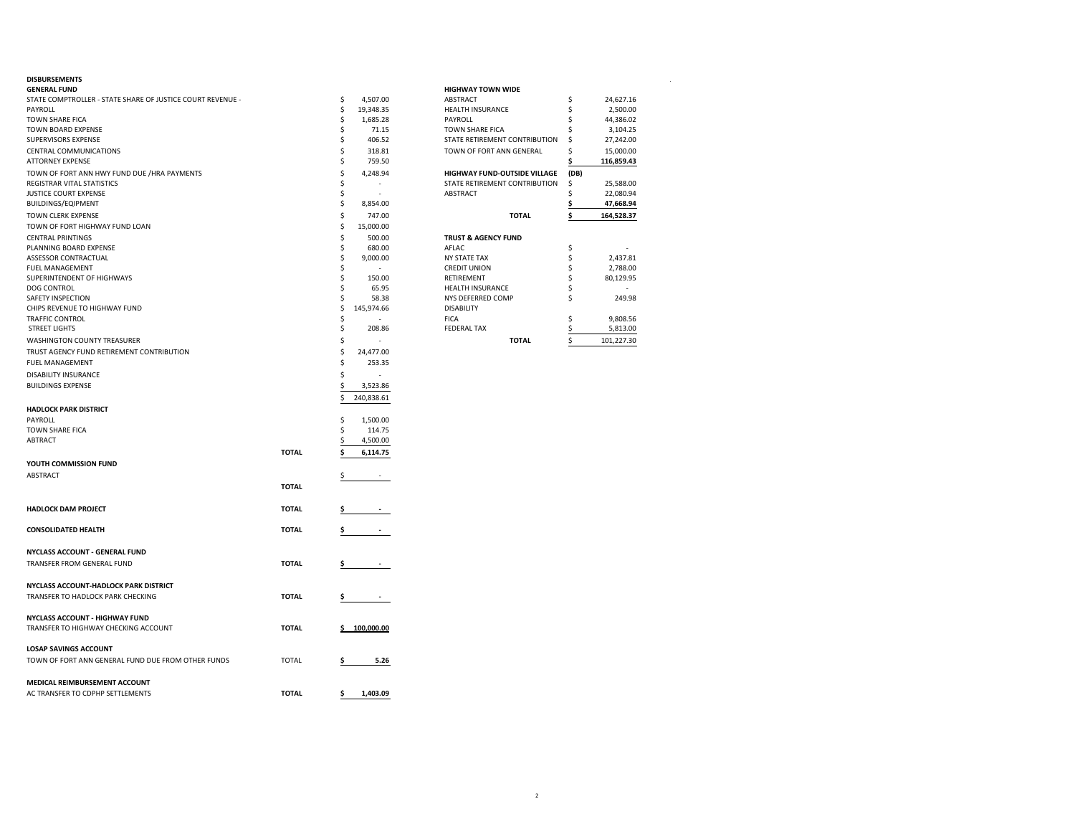| GENERAL FUND                                               |              |    |            | <b>HIGHWAY TOWN WIDE</b>       |      |            |
|------------------------------------------------------------|--------------|----|------------|--------------------------------|------|------------|
| STATE COMPTROLLER - STATE SHARE OF JUSTICE COURT REVENUE - |              | \$ | 4,507.00   | <b>ABSTRACT</b>                | \$   | 24,627.16  |
| PAYROLL                                                    |              | \$ | 19,348.35  | <b>HEALTH INSURANCE</b>        | \$   | 2,500.00   |
| TOWN SHARE FICA                                            |              | \$ | 1,685.28   | PAYROLL                        | Ś    | 44,386.02  |
| TOWN BOARD EXPENSE                                         |              | Ś  | 71.15      | TOWN SHARE FICA                |      | 3,104.25   |
| SUPERVISORS EXPENSE                                        |              | \$ | 406.52     | STATE RETIREMENT CONTRIBUTION  | \$   | 27,242.00  |
| CENTRAL COMMUNICATIONS                                     |              | \$ | 318.81     | TOWN OF FORT ANN GENERAL       | \$   | 15,000.00  |
| <b>ATTORNEY EXPENSE</b>                                    |              | \$ | 759.50     |                                |      | 116,859.43 |
| TOWN OF FORT ANN HWY FUND DUE /HRA PAYMENTS                |              | Ś  | 4,248.94   | HIGHWAY FUND-OUTSIDE VILLAGE   | (DB) |            |
| REGISTRAR VITAL STATISTICS                                 |              | \$ |            | STATE RETIREMENT CONTRIBUTION  | \$   | 25,588.00  |
| JUSTICE COURT EXPENSE                                      |              | Ś  | ٠          | ABSTRACT                       | \$   | 22,080.94  |
| <b>BUILDINGS/EQIPMENT</b>                                  |              | \$ | 8,854.00   |                                | \$   | 47,668.94  |
| TOWN CLERK EXPENSE                                         |              | \$ | 747.00     | <b>TOTAL</b>                   | \$   | 164,528.37 |
| TOWN OF FORT HIGHWAY FUND LOAN                             |              | \$ | 15,000.00  |                                |      |            |
| <b>CENTRAL PRINTINGS</b>                                   |              | Ś  | 500.00     | <b>TRUST &amp; AGENCY FUND</b> |      |            |
| PLANNING BOARD EXPENSE                                     |              | \$ | 680.00     | AFLAC                          | \$   |            |
| ASSESSOR CONTRACTUAL                                       |              | Ś  | 9,000.00   | <b>NY STATE TAX</b>            | \$   | 2,437.81   |
| <b>FUEL MANAGEMENT</b>                                     |              | Ś  |            | <b>CREDIT UNION</b>            | \$   | 2,788.00   |
| SUPERINTENDENT OF HIGHWAYS                                 |              |    | 150.00     | RETIREMENT                     | \$   | 80,129.95  |
| DOG CONTROL                                                |              |    | 65.95      | HEALTH INSURANCE               | \$   | ٠          |
| SAFETY INSPECTION                                          |              | Ś  | 58.38      | NYS DEFERRED COMP              | \$   | 249.98     |
| CHIPS REVENUE TO HIGHWAY FUND                              |              | \$ | 145,974.66 | <b>DISABILITY</b>              |      |            |
| TRAFFIC CONTROL                                            |              | Ś  |            | <b>FICA</b>                    | \$   | 9,808.56   |
| <b>STREET LIGHTS</b>                                       |              | \$ | 208.86     | <b>FEDERAL TAX</b>             |      | 5,813.00   |
| WASHINGTON COUNTY TREASURER                                |              | \$ | ٠          | <b>TOTAL</b>                   | \$   | 101,227.30 |
| TRUST AGENCY FUND RETIREMENT CONTRIBUTION                  |              | \$ | 24,477.00  |                                |      |            |
| FUEL MANAGEMENT                                            |              | Ś  | 253.35     |                                |      |            |
| DISABILITY INSURANCE                                       |              | Ś  |            |                                |      |            |
| <b>BUILDINGS EXPENSE</b>                                   |              |    | 3,523.86   |                                |      |            |
|                                                            |              | \$ | 240,838.61 |                                |      |            |
| <b>HADLOCK PARK DISTRICT</b>                               |              |    |            |                                |      |            |
| PAYROLL                                                    |              | \$ | 1,500.00   |                                |      |            |
| TOWN SHARE FICA                                            |              | \$ | 114.75     |                                |      |            |
| ABTRACT                                                    |              |    | 4,500.00   |                                |      |            |
|                                                            | <b>TOTAL</b> |    | 6,114.75   |                                |      |            |
| YOUTH COMMISSION FUND                                      |              |    |            |                                |      |            |
|                                                            |              |    |            |                                |      |            |
| ABSTRACT                                                   |              |    |            |                                |      |            |
|                                                            | <b>TOTAL</b> |    |            |                                |      |            |
|                                                            |              |    |            |                                |      |            |
| <b>HADLOCK DAM PROJECT</b>                                 | <b>TOTAL</b> |    |            |                                |      |            |
|                                                            |              |    |            |                                |      |            |
| <b>CONSOLIDATED HEALTH</b>                                 | <b>TOTAL</b> | \$ |            |                                |      |            |
|                                                            |              |    |            |                                |      |            |
| NYCLASS ACCOUNT - GENERAL FUND                             |              |    |            |                                |      |            |
| TRANSFER FROM GENERAL FUND                                 | <b>TOTAL</b> |    |            |                                |      |            |
|                                                            |              |    |            |                                |      |            |
| NYCLASS ACCOUNT-HADLOCK PARK DISTRICT                      |              |    |            |                                |      |            |
| TRANSFER TO HADLOCK PARK CHECKING                          | <b>TOTAL</b> | \$ | $\sim$     |                                |      |            |
|                                                            |              |    |            |                                |      |            |
| NYCLASS ACCOUNT - HIGHWAY FUND                             |              |    |            |                                |      |            |
| TRANSFER TO HIGHWAY CHECKING ACCOUNT                       | <b>TOTAL</b> |    | 100,000.00 |                                |      |            |
|                                                            |              |    |            |                                |      |            |
| <b>LOSAP SAVINGS ACCOUNT</b>                               |              |    |            |                                |      |            |
| TOWN OF FORT ANN GENERAL FUND DUE FROM OTHER FUNDS         | <b>TOTAL</b> |    | 5.26       |                                |      |            |
|                                                            |              |    |            |                                |      |            |
| MEDICAL REIMBURSEMENT ACCOUNT                              |              |    |            |                                |      |            |
| AC TRANSFER TO CDPHP SETTLEMENTS                           | <b>TOTAL</b> | \$ | 1,403.09   |                                |      |            |
|                                                            |              |    |            |                                |      |            |

| <b>DISBURSEMENTS</b>                                       |            |                                     |      |            |
|------------------------------------------------------------|------------|-------------------------------------|------|------------|
| <b>GENERAL FUND</b>                                        |            | <b>HIGHWAY TOWN WIDE</b>            |      |            |
| STATE COMPTROLLER - STATE SHARE OF JUSTICE COURT REVENUE - | 4.507.00   | <b>ABSTRACT</b>                     |      | 24.627.16  |
| PAYROLL                                                    | 19.348.35  | <b>HEALTH INSURANCE</b>             |      | 2,500.00   |
| TOWN SHARE FICA                                            | 1.685.28   | PAYROLL                             |      | 44,386.02  |
| TOWN BOARD EXPENSE                                         | 71.15      | <b>TOWN SHARE FICA</b>              |      | 3,104.25   |
| SUPERVISORS EXPENSE                                        | 406.52     | STATE RETIREMENT CONTRIBUTION       |      | 27,242.00  |
| CENTRAL COMMUNICATIONS                                     | 318.81     | TOWN OF FORT ANN GENERAL            |      | 15.000.00  |
| <b>ATTORNEY EXPENSE</b>                                    | 759.50     |                                     |      | 116,859.43 |
| TOWN OF FORT ANN HWY FUND DUE /HRA PAYMENTS                | 4.248.94   | <b>HIGHWAY FUND-OUTSIDE VILLAGE</b> | (DB) |            |
| REGISTRAR VITAL STATISTICS                                 |            | STATE RETIREMENT CONTRIBUTION       |      | 25,588.00  |
| <b>JUSTICE COURT EXPENSE</b>                               |            | ABSTRACT                            |      | 22,080.94  |
| BUILDINGS/EQIPMENT                                         | 8,854.00   |                                     |      | 47,668.94  |
| TOWN CLERK EXPENSE                                         | 747.00     | <b>TOTAL</b>                        |      | 164.528.37 |
| TOWN OF FORT HIGHWAY FUND LOAN                             | 15,000.00  |                                     |      |            |
| <b>CENTRAL PRINTINGS</b>                                   | 500.00     | <b>TRUST &amp; AGENCY FUND</b>      |      |            |
| PLANNING BOARD EXPENSE                                     | 680.00     | AFLAC                               |      |            |
| <b>ASSESSOR CONTRACTUAL</b>                                | 9.000.00   | <b>NY STATE TAX</b>                 |      | 2,437.81   |
| <b>FUEL MANAGEMENT</b>                                     |            | <b>CREDIT UNION</b>                 |      | 2,788.00   |
| SUPERINTENDENT OF HIGHWAYS                                 | 150.00     | RETIREMENT                          |      | 80,129.95  |
| DOG CONTROL                                                | 65.95      | <b>HEALTH INSURANCE</b>             |      |            |
| <b>SAFFTY INSPECTION</b>                                   | 58.38      | NYS DEFERRED COMP                   |      | 249.98     |
| CHIPS REVENUE TO HIGHWAY FUND                              | 145.974.66 | <b>DISABILITY</b>                   |      |            |
| TRAFFIC CONTROL                                            |            | <b>FICA</b>                         |      | 9,808.56   |
| <b>STREET LIGHTS</b>                                       | 208.86     | <b>FEDERAL TAX</b>                  |      | 5,813.00   |
| <b>WASHINGTON COUNTY TREASURER</b>                         |            | <b>TOTAL</b>                        |      | 101,227.30 |
|                                                            |            |                                     |      |            |